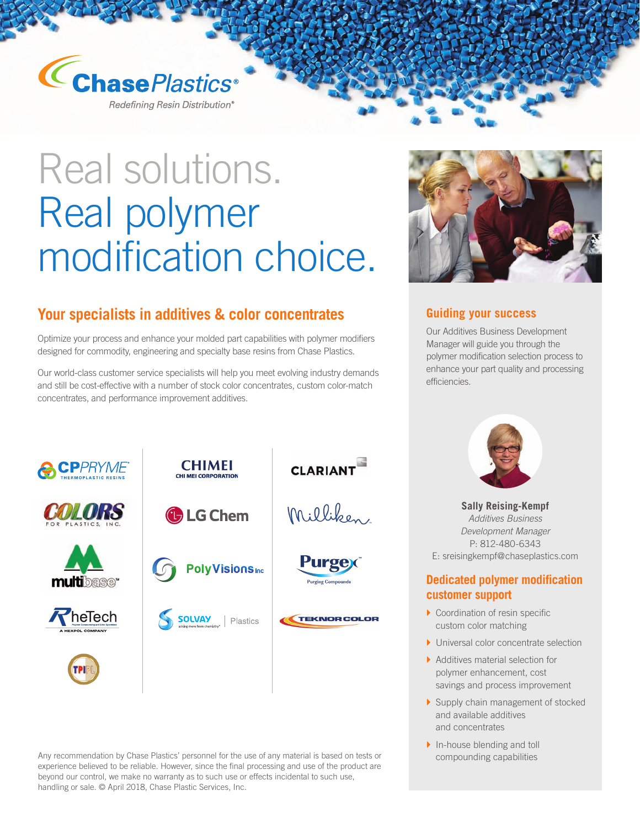

Redefining Resin Distribution®

# Real solutions. Real polymer modification choice.

### **Your specialists in additives & color concentrates**

Optimize your process and enhance your molded part capabilities with polymer modifiers designed for commodity, engineering and specialty base resins from Chase Plastics.

Our world-class customer service specialists will help you meet evolving industry demands and still be cost-effective with a number of stock color concentrates, custom color-match concentrates, and performance improvement additives.



Any recommendation by Chase Plastics' personnel for the use of any material is based on tests or compounding capabilities experience believed to be reliable. However, since the final processing and use of the product are beyond our control, we make no warranty as to such use or effects incidental to such use, handling or sale. © April 2018, Chase Plastic Services, Inc.



#### **Guiding your success**

Our Additives Business Development Manager will guide you through the polymer modification selection process to enhance your part quality and processing efficiencies.



**Sally Reising-Kempf**  *Additives Business Development Manager*  P: 812-480-6343 E: sreisingkempf@chaseplastics.com

#### **Dedicated polymer modification customer support**

- $\triangleright$  Coordination of resin specific custom color matching
- ▶ Universal color concentrate selection
- $\blacktriangleright$  Additives material selection for polymer enhancement, cost savings and process improvement
- ▶ Supply chain management of stocked and available additives and concentrates
- $\blacktriangleright$  In-house blending and toll